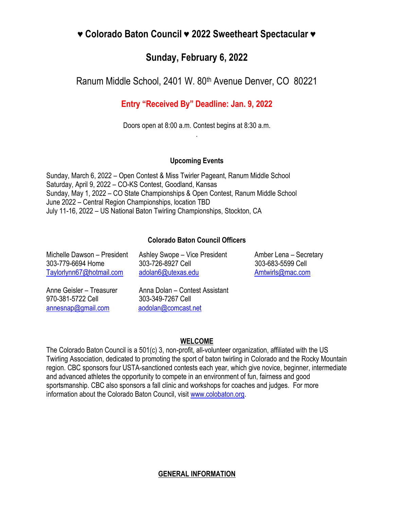# **♥ Colorado Baton Council ♥ 2022 Sweetheart Spectacular ♥**

## **Sunday, February 6, 2022**

Ranum Middle School, 2401 W. 80th Avenue Denver, CO 80221

## **Entry "Received By" Deadline: Jan. 9, 2022**

Doors open at 8:00 a.m. Contest begins at 8:30 a.m. .

## **Upcoming Events**

Sunday, March 6, 2022 – Open Contest & Miss Twirler Pageant, Ranum Middle School Saturday, April 9, 2022 – CO-KS Contest, Goodland, Kansas Sunday, May 1, 2022 – CO State Championships & Open Contest, Ranum Middle School June 2022 – Central Region Championships, location TBD July 11-16, 2022 – US National Baton Twirling Championships, Stockton, CA

## **Colorado Baton Council Officers**

Michelle Dawson – President Ashley Swope – Vice President Amber Lena – Secretary 303-779-6694 Home 303-726-8927 Cell 303-683-5599 Cell [Taylorlynn67@hotmail.com](mailto:Taylorlynn67@hotmail.com) [adolan6@utexas.edu](mailto:adolan6@utexas.edu) [Amtwirls@mac.com](mailto:Amtwirls@mac.com)

970-381-5722 Cell 303-349-7267 Cell [annesnap@gmail.com](mailto:annesnap@gmail.com) [aodolan@comcast.net](mailto:aodolan@comcast.net)

Anne Geisler – Treasurer Anna Dolan – Contest Assistant

## **WELCOME**

The Colorado Baton Council is a 501(c) 3, non-profit, all-volunteer organization, affiliated with the US Twirling Association, dedicated to promoting the sport of baton twirling in Colorado and the Rocky Mountain region. CBC sponsors four USTA-sanctioned contests each year, which give novice, beginner, intermediate and advanced athletes the opportunity to compete in an environment of fun, fairness and good sportsmanship. CBC also sponsors a fall clinic and workshops for coaches and judges. For more information about the Colorado Baton Council, visit [www.colobaton.org.](http://www.colobaton.org/)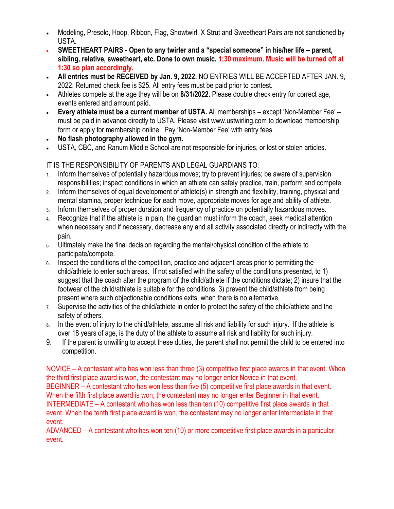- Modeling, Presolo, Hoop, Ribbon, Flag, Showtwirl, X Strut and Sweetheart Pairs are not sanctioned by USTA.
- **SWEETHEART PAIRS - Open to any twirler and a "special someone" in his/her life – parent, sibling, relative, sweetheart, etc. Done to own music. 1:30 maximum. Music will be turned off at 1:30 so plan accordingly.**
- **All entries must be RECEIVED by Jan. 9, 2022.** NO ENTRIES WILL BE ACCEPTED AFTER JAN. 9, 2022. Returned check fee is \$25. All entry fees must be paid prior to contest.
- Athletes compete at the age they will be on **8/31/2022.** Please double check entry for correct age, events entered and amount paid.
- **Every athlete must be a current member of USTA.** All memberships except 'Non-Member Fee' must be paid in advance directly to USTA. Please visit www.ustwirling.com to download membership form or apply for membership online. Pay 'Non-Member Fee' with entry fees.
- **No flash photography allowed in the gym.**
- USTA, CBC, and Ranum Middle School are not responsible for injuries, or lost or stolen articles.

### IT IS THE RESPONSIBILITY OF PARENTS AND LEGAL GUARDIANS TO:

- 1. Inform themselves of potentially hazardous moves; try to prevent injuries; be aware of supervision responsibilities; inspect conditions in which an athlete can safely practice, train, perform and compete.
- 2. Inform themselves of equal development of athlete(s) in strength and flexibility, training, physical and mental stamina, proper technique for each move, appropriate moves for age and ability of athlete.
- 3. Inform themselves of proper duration and frequency of practice on potentially hazardous moves.
- Recognize that if the athlete is in pain, the guardian must inform the coach, seek medical attention when necessary and if necessary, decrease any and all activity associated directly or indirectly with the pain.
- 5. Ultimately make the final decision regarding the mental/physical condition of the athlete to participate/compete.
- 6. Inspect the conditions of the competition, practice and adjacent areas prior to permitting the child/athlete to enter such areas. If not satisfied with the safety of the conditions presented, to 1) suggest that the coach alter the program of the child/athlete if the conditions dictate; 2) insure that the footwear of the child/athlete is suitable for the conditions; 3) prevent the child/athlete from being present where such objectionable conditions exits, when there is no alternative.
- 7. Supervise the activities of the child/athlete in order to protect the safety of the child/athlete and the safety of others.
- 8. In the event of injury to the child/athlete, assume all risk and liability for such injury. If the athlete is over 18 years of age, is the duty of the athlete to assume all risk and liability for such injury.
- 9. If the parent is unwilling to accept these duties, the parent shall not permit the child to be entered into competition.

NOVICE – A contestant who has won less than three (3) competitive first place awards in that event. When the third first place award is won, the contestant may no longer enter Novice in that event. BEGINNER – A contestant who has won less than five (5) competitive first place awards in that event. When the fifth first place award is won, the contestant may no longer enter Beginner in that event. INTERMEDIATE – A contestant who has won less than ten (10) competitive first place awards in that event. When the tenth first place award is won, the contestant may no longer enter Intermediate in that event.

ADVANCED – A contestant who has won ten (10) or more competitive first place awards in a particular event.